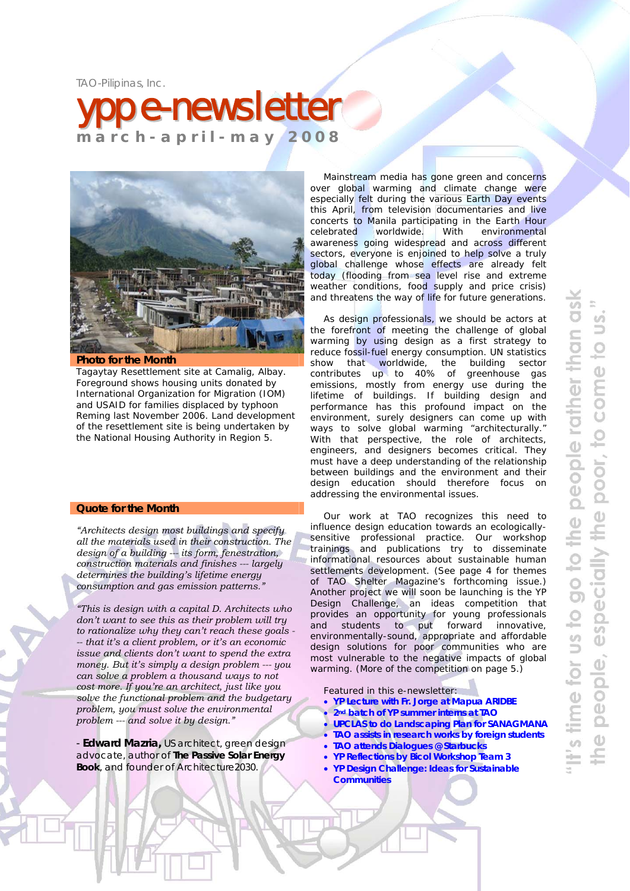TAO-Pilipinas, Inc.





#### **Photo for the Month**

Tagaytay Resettlement site at Camalig, Albay. Foreground shows housing units donated by International Organization for Migration (IOM) and USAID for families displaced by typhoon Reming last November 2006. Land development of the resettlement site is being undertaken by the National Housing Authority in Region 5.

#### **Quote for the Month**

*"Architects design most buildings and specify all the materials used in their construction. The design of a building --- its form, fenestration, construction materials and finishes --- largely determines the building's lifetime energy consumption and gas emission patterns."* 

*"This is design with a capital D. Architects who don't want to see this as their problem will try to rationalize why they can't reach these goals - -- that it's a client problem, or it's an economic issue and clients don't want to spend the extra money. But it's simply a design problem --- you can solve a problem a thousand ways to not cost more. If you're an architect, just like you solve the functional problem and the budgetary problem, you must solve the environmental problem --- and solve it by design."* 

- **Edward Mazria,** US architect, green design advocate, author of *The Passive Solar Energy Book*, and founder of Architecture2030.

Mainstream media has gone green and concerns over global warming and climate change were especially felt during the various Earth Day events this April, from television documentaries and live concerts to Manila participating in the Earth Hour celebrated worldwide. With environmental awareness going widespread and across different sectors, everyone is enjoined to help solve a truly global challenge whose effects are already felt today (flooding from sea level rise and extreme weather conditions, food supply and price crisis) and threatens the way of life for future generations.

As design professionals, we should be actors at the forefront of meeting the challenge of global warming by using design as a first strategy to reduce fossil-fuel energy consumption. UN statistics show that worldwide, the building sector contributes up to 40% of greenhouse gas emissions, mostly from energy use during the lifetime of buildings. If building design and performance has this profound impact on the environment, surely designers can come up with ways to solve global warming "architecturally." With that perspective, the role of architects, engineers, and designers becomes critical. They must have a deep understanding of the relationship between buildings and the environment and their design education should therefore focus on addressing the environmental issues.

Our work at TAO recognizes this need to influence design education towards an ecologicallysensitive professional practice. Our workshop trainings and publications try to disseminate informational resources about sustainable human settlements development. (*See page 4 for themes of TAO Shelter Magazine's forthcoming issue.)*  Another project we will soon be launching is the YP Design Challenge, an ideas competition that provides an opportunity for young professionals and students to put forward innovative, environmentally-sound, appropriate and affordable design solutions for poor communities who are most vulnerable to the negative impacts of global warming. (*More of the competition on page 5*.)

Featured in this e-newsletter:

- **YP Lecture with Fr. Jorge at Mapua ARIDBE**
- **2nd batch of YP summer interns at TAO**
- **UPCLAS to do Landscaping Plan for SANAGMANA**
- **TAO assists in research works by foreign students** • **TAO attends Dialogues @ Starbucks**
- **YP Reflections by Bicol Workshop Team 3**
- **YP Design Challenge: Ideas for Sustainable Communities**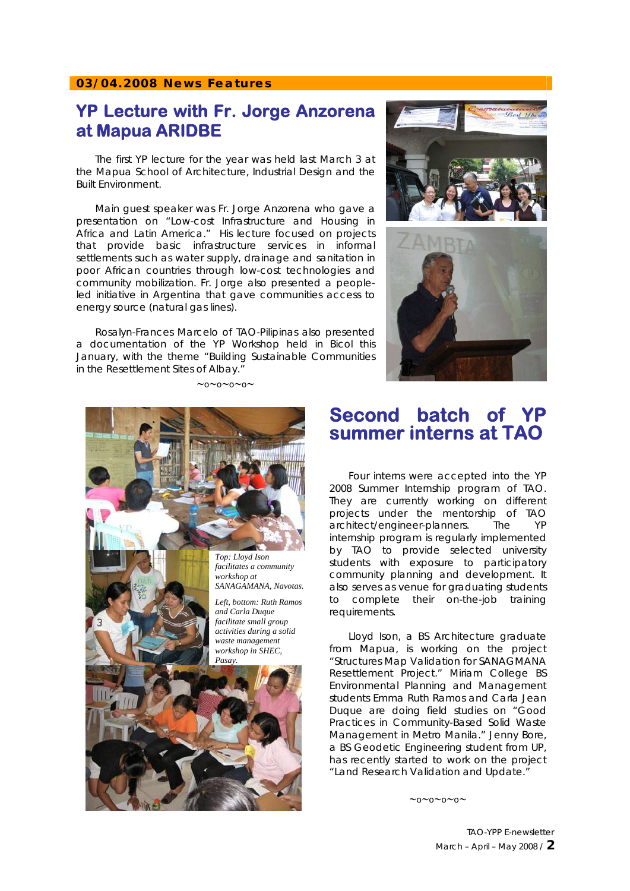#### **03/04.2008 News Features**

#### **YP Lecture with Fr. Jorge Anzorena at Mapua ARIDBE**

The first YP lecture for the year was held last March 3 at the Mapua School of Architecture, Industrial Design and the Built Environment.

Main guest speaker was Fr. Jorge Anzorena who gave a presentation on "Low-cost Infrastructure and Housing in Africa and Latin America." His lecture focused on projects that provide basic infrastructure services in informal settlements such as water supply, drainage and sanitation in poor African countries through low-cost technologies and community mobilization. Fr. Jorge also presented a peopleled initiative in Argentina that gave communities access to energy source (natural gas lines).

Rosalyn-Frances Marcelo of TAO-Pilipinas also presented a documentation of the YP Workshop held in Bicol this January, with the theme "Building Sustainable Communities in the Resettlement Sites of Albay."

∼o∼o∼o∼o∼



**Second batch of YP summer interns at TAO** 



Four interns were accepted into the YP 2008 Summer Internship program of TAO. They are currently working on different projects under the mentorship of TAO architect/engineer-planners. The YP internship program is regularly implemented by TAO to provide selected university students with exposure to participatory community planning and development. It also serves as venue for graduating students to complete their on-the-job training requirements.

Lloyd Ison, a BS Architecture graduate from Mapua, is working on the project "Structures Map Validation for SANAGMANA Resettlement Project." Miriam College BS Environmental Planning and Management students Emma Ruth Ramos and Carla Jean Duque are doing field studies on "Good Practices in Community-Based Solid Waste Management in Metro Manila." Jenny Bore, a BS Geodetic Engineering student from UP, has recently started to work on the project "Land Research Validation and Update."

∼o∼o∼o∼o∼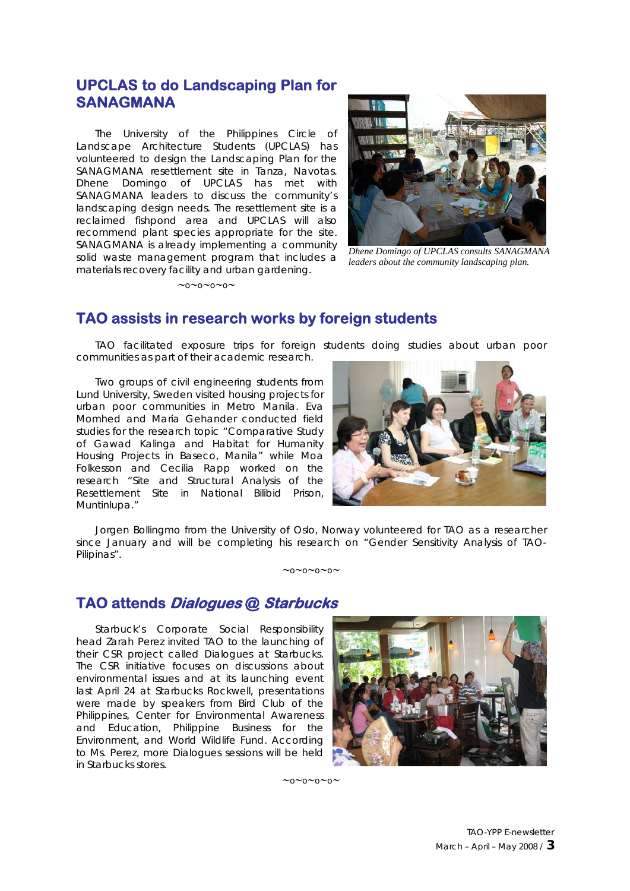#### **UPCLAS to do Landscaping Plan for SANAGMANA**

The University of the Philippines Circle of Landscape Architecture Students (UPCLAS) has volunteered to design the Landscaping Plan for the SANAGMANA resettlement site in Tanza, Navotas. Dhene Domingo of UPCLAS has met with SANAGMANA leaders to discuss the community's landscaping design needs. The resettlement site is a reclaimed fishpond area and UPCLAS will also recommend plant species appropriate for the site. SANAGMANA is already implementing a community solid waste management program that includes a materials recovery facility and urban gardening.

∼o∼o∼o∼o∼



*Dhene Domingo of UPCLAS consults SANAGMANA leaders about the community landscaping plan.* 

#### **TAO assists in research works by foreign students**

TAO facilitated exposure trips for foreign students doing studies about urban poor communities as part of their academic research.

Two groups of civil engineering students from Lund University, Sweden visited housing projects for urban poor communities in Metro Manila. Eva Momhed and Maria Gehander conducted field studies for the research topic "Comparative Study of Gawad Kalinga and Habitat for Humanity Housing Projects in Baseco, Manila" while Moa Folkesson and Cecilia Rapp worked on the research "Site and Structural Analysis of the Resettlement Site in National Bilibid Prison, Muntinlupa."



Jorgen Bollingmo from the University of Oslo, Norway volunteered for TAO as a researcher since January and will be completing his research on "Gender Sensitivity Analysis of TAO-Pilipinas".

∼o∼o∼o∼o∼

#### **TAO attends Dialogues @ Starbucks**

Starbuck's Corporate Social Responsibility head Zarah Perez invited TAO to the launching of their CSR project called Dialogues at Starbucks. The CSR initiative focuses on discussions about environmental issues and at its launching event last April 24 at Starbucks Rockwell, presentations were made by speakers from Bird Club of the Philippines, Center for Environmental Awareness and Education, Philippine Business for the Environment, and World Wildlife Fund. According to Ms. Perez, more Dialogues sessions will be held in Starbucks stores.



∼o∼o∼o∼o∼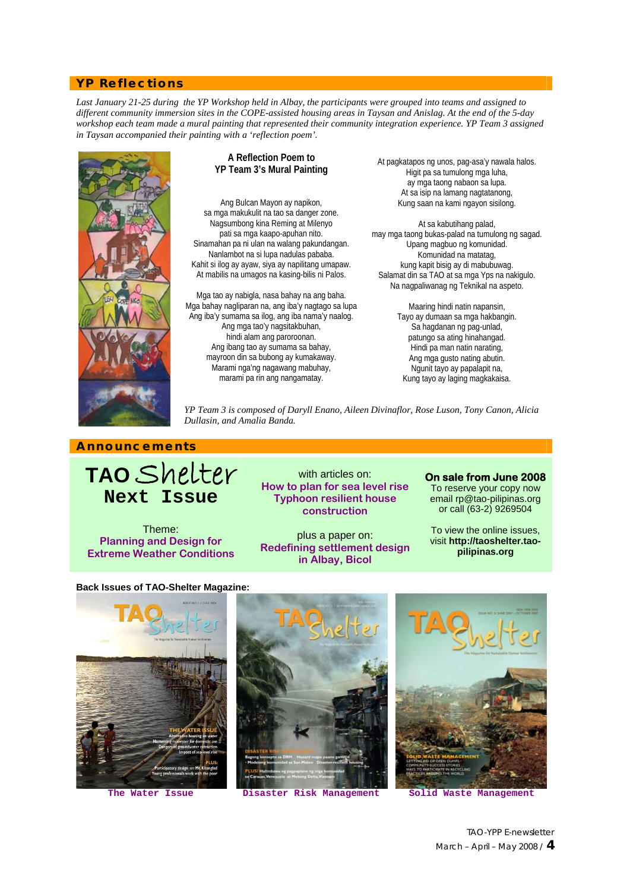#### **YP Reflections**

*Last January 21-25 during the YP Workshop held in Albay, the participants were grouped into teams and assigned to different community immersion sites in the COPE-assisted housing areas in Taysan and Anislag. At the end of the 5-day workshop each team made a mural painting that represented their community integration experience. YP Team 3 assigned in Taysan accompanied their painting with a 'reflection poem'.* 



#### **A Reflection Poem to YP Team 3's Mural Painting**

Ang Bulcan Mayon ay napikon, sa mga makukulit na tao sa danger zone. Nagsumbong kina Reming at Milenyo pati sa mga kaapo-apuhan nito. Sinamahan pa ni ulan na walang pakundangan. Nanlambot na si lupa nadulas pababa. Kahit si ilog ay ayaw, siya ay napilitang umapaw. At mabilis na umagos na kasing-bilis ni Palos.

Mga tao ay nabigla, nasa bahay na ang baha. Mga bahay nagliparan na, ang iba'y nagtago sa lupa Ang iba'y sumama sa ilog, ang iba nama'y naalog. Ang mga tao'y nagsitakbuhan, hindi alam ang paroroonan. Ang ibang tao ay sumama sa bahay, mayroon din sa bubong ay kumakaway. Marami nga'ng nagawang mabuhay, marami pa rin ang nangamatay.

At pagkatapos ng unos, pag-asa'y nawala halos. Higit pa sa tumulong mga luha, ay mga taong nabaon sa lupa. At sa isip na lamang nagtatanong, Kung saan na kami ngayon sisilong.

At sa kabutihang palad, may mga taong bukas-palad na tumulong ng sagad. Upang magbuo ng komunidad. Komunidad na matatag, kung kapit bisig ay di mabubuwag. Salamat din sa TAO at sa mga Yps na nakigulo. Na nagpaliwanag ng Teknikal na aspeto.

> Maaring hindi natin napansin, Tayo ay dumaan sa mga hakbangin. Sa hagdanan ng pag-unlad, patungo sa ating hinahangad. Hindi pa man natin narating, Ang mga gusto nating abutin. Ngunit tayo ay papalapit na, Kung tayo ay laging magkakaisa.

*YP Team 3 is composed of Daryll Enano, Aileen Divinaflor, Rose Luson, Tony Canon, Alicia Dullasin, and Amalia Banda.* 

#### **Announcements**

## **TAO** Shelter **Next Issue**

Theme: **Planning and Design for Extreme Weather Conditions** 

with articles on: **How to plan for sea level rise Typhoon resilient house construction** 

plus a paper on: **Redefining settlement design in Albay, Bicol** 

#### **On sale from June 2008**

To reserve your copy now email [rp@tao-pilipinas.org](mailto:rp@tao-pilipinas.org)  or call (63-2) 9269504

To view the online issues, visit **[http://taoshelter.tao](http://taoshelter.tao-pilipinas.org/)[pilipinas.org](http://taoshelter.tao-pilipinas.org/)**

**Back Issues of TAO-Shelter Magazine:**









TAO-YPP E-newsletter March – April – May 2008 / **4**